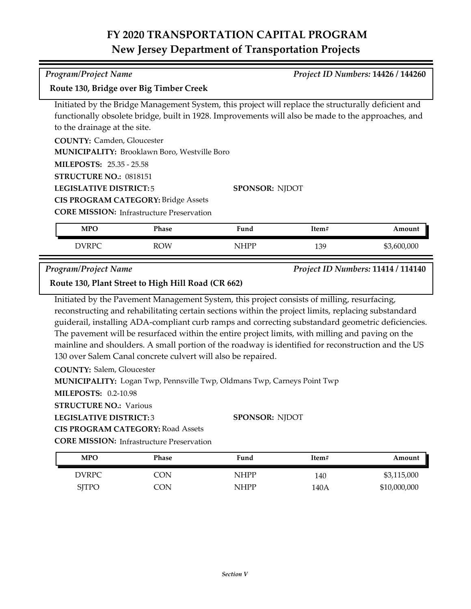## **FY 2020 TRANSPORTATION CAPITAL PROGRAM New Jersey Department of Transportation Projects**

**Route 130, Bridge over Big Timber Creek**

Initiated by the Bridge Management System, this project will replace the structurally deficient and functionally obsolete bridge, built in 1928. Improvements will also be made to the approaches, and to the drainage at the site.

**COUNTY:** Camden, Gloucester

**MUNICIPALITY: Brooklawn Boro, Westville Boro** 

**MILEPOSTS:** 25.35 - 25.58

**STRUCTURE NO.:** 0818151

**LEGISLATIVE DISTRICT:** 5

**CIS PROGRAM CATEGORY:** Bridge Assets

**CORE MISSION:** Infrastructure Preservation

| <b>MPO</b> | Phase      | Fund | Item# | Amount      |
|------------|------------|------|-------|-------------|
| DVRPC      | <b>ROW</b> | NHPP | 139   | \$3,600,000 |

**SPONSOR:** NJDOT

*Program/Project Name Project ID Numbers:* **11414 / 114140**

**Route 130, Plant Street to High Hill Road (CR 662)**

Initiated by the Pavement Management System, this project consists of milling, resurfacing, reconstructing and rehabilitating certain sections within the project limits, replacing substandard guiderail, installing ADA-compliant curb ramps and correcting substandard geometric deficiencies. The pavement will be resurfaced within the entire project limits, with milling and paving on the mainline and shoulders. A small portion of the roadway is identified for reconstruction and the US 130 over Salem Canal concrete culvert will also be repaired.

**COUNTY:** Salem, Gloucester

**MUNICIPALITY:** Logan Twp, Pennsville Twp, Oldmans Twp, Carneys Point Twp

**MILEPOSTS:** 0.2-10.98

**STRUCTURE NO.: Various** 

**LEGISLATIVE DISTRICT:** 3

**CIS PROGRAM CATEGORY:** Road Assets

**CORE MISSION: Infrastructure Preservation** 

| <b>MPO</b>   | Phase | Fund        | Item# | Amount       |
|--------------|-------|-------------|-------|--------------|
| <b>DVRPC</b> | 7ON   | <b>NHPP</b> | 140   | \$3,115,000  |
| <b>SITPO</b> | CON   | <b>NHPP</b> | 140A  | \$10,000,000 |

**SPONSOR:** NJDOT

*Program/Project Name Project ID Numbers:* **14426 / 144260**